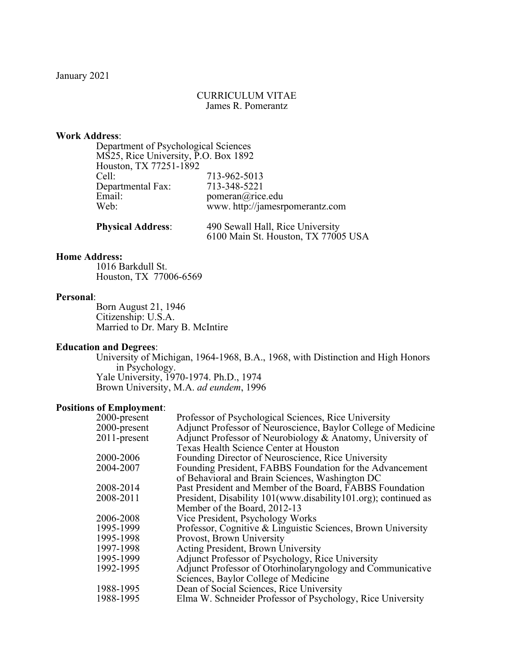## CURRICULUM VITAE James R. Pomerantz

## **Work Address**:

| Department of Psychological Sciences |                                |
|--------------------------------------|--------------------------------|
| MS25, Rice University, P.O. Box 1892 |                                |
| Houston, TX 77251-1892               |                                |
| Cell:                                | 713-962-5013                   |
| Departmental Fax:                    | 713-348-5221                   |
| Email:                               | pomeran@rice.edu               |
| Web:                                 | www.http://jamesrpomerantz.com |
|                                      |                                |

| <b>Physical Address:</b> | 490 Sewall Hall, Rice University    |
|--------------------------|-------------------------------------|
|                          | 6100 Main St. Houston, TX 77005 USA |

## **Home Address:**

1016 Barkdull St. Houston, TX 77006-6569

### **Personal**:

Born August 21, 1946 Citizenship: U.S.A. Married to Dr. Mary B. McIntire

# **Education and Degrees**:

University of Michigan, 1964-1968, B.A., 1968, with Distinction and High Honors in Psychology. Yale University, 1970-1974. Ph.D., 1974 Brown University, M.A. *ad eundem*, 1996

## **Positions of Employment**:

| Professor of Psychological Sciences, Rice University           |
|----------------------------------------------------------------|
| Adjunct Professor of Neuroscience, Baylor College of Medicine  |
| Adjunct Professor of Neurobiology & Anatomy, University of     |
| Texas Health Science Center at Houston                         |
| Founding Director of Neuroscience, Rice University             |
| Founding President, FABBS Foundation for the Advancement       |
| of Behavioral and Brain Sciences, Washington DC                |
| Past President and Member of the Board, FABBS Foundation       |
| President, Disability 101(www.disability101.org); continued as |
| Member of the Board, 2012-13                                   |
| Vice President, Psychology Works                               |
| Professor, Cognitive & Linguistic Sciences, Brown University   |
| Provost, Brown University                                      |
| Acting President, Brown University                             |
| Adjunct Professor of Psychology, Rice University               |
| Adjunct Professor of Otorhinolaryngology and Communicative     |
| Sciences, Baylor College of Medicine                           |
| Dean of Social Sciences, Rice University                       |
| Elma W. Schneider Professor of Psychology, Rice University     |
|                                                                |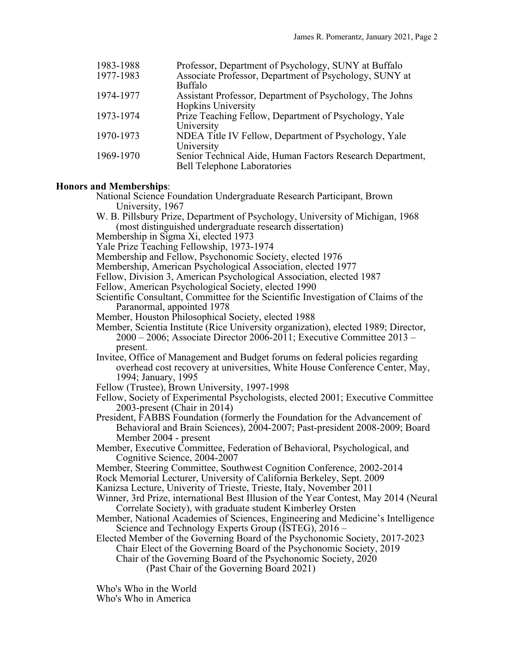| 1983-1988 | Professor, Department of Psychology, SUNY at Buffalo      |
|-----------|-----------------------------------------------------------|
| 1977-1983 | Associate Professor, Department of Psychology, SUNY at    |
|           | <b>Buffalo</b>                                            |
| 1974-1977 | Assistant Professor, Department of Psychology, The Johns  |
|           | <b>Hopkins University</b>                                 |
| 1973-1974 | Prize Teaching Fellow, Department of Psychology, Yale     |
|           | University                                                |
| 1970-1973 | NDEA Title IV Fellow, Department of Psychology, Yale      |
|           | University                                                |
| 1969-1970 | Senior Technical Aide, Human Factors Research Department, |
|           | <b>Bell Telephone Laboratories</b>                        |

#### **Honors and Memberships**:

National Science Foundation Undergraduate Research Participant, Brown University, 1967

- W. B. Pillsbury Prize, Department of Psychology, University of Michigan, 1968 (most distinguished undergraduate research dissertation)
- Membership in Sigma Xi, elected 1973

Yale Prize Teaching Fellowship, 1973-1974

Membership and Fellow, Psychonomic Society, elected 1976

Membership, American Psychological Association, elected 1977

Fellow, Division 3, American Psychological Association, elected 1987

Fellow, American Psychological Society, elected 1990

Scientific Consultant, Committee for the Scientific Investigation of Claims of the Paranormal, appointed 1978

Member, Houston Philosophical Society, elected 1988

Member, Scientia Institute (Rice University organization), elected 1989; Director,  $2000 - 2006$ ; Associate Director  $2006 - 2011$ ; Executive Committee  $2013$ present.

Invitee, Office of Management and Budget forums on federal policies regarding overhead cost recovery at universities, White House Conference Center, May, 1994; January, 1995

Fellow (Trustee), Brown University, 1997-1998

Fellow, Society of Experimental Psychologists, elected 2001; Executive Committee 2003-present (Chair in 2014)

President, FABBS Foundation (formerly the Foundation for the Advancement of Behavioral and Brain Sciences), 2004-2007; Past-president 2008-2009; Board Member 2004 - present

Member, Executive Committee, Federation of Behavioral, Psychological, and Cognitive Science, 2004-2007

Member, Steering Committee, Southwest Cognition Conference, 2002-2014

Rock Memorial Lecturer, University of California Berkeley, Sept. 2009

Kanizsa Lecture, Univerity of Trieste, Trieste, Italy, November 2011

Winner, 3rd Prize, international Best Illusion of the Year Contest, May 2014 (Neural Correlate Society), with graduate student Kimberley Orsten

Member, National Academies of Sciences, Engineering and Medicine's Intelligence Science and Technology Experts Group (ISTEG), 2016 –

Elected Member of the Governing Board of the Psychonomic Society, 2017-2023 Chair Elect of the Governing Board of the Psychonomic Society, 2019

Chair of the Governing Board of the Psychonomic Society, 2020 (Past Chair of the Governing Board 2021)

Who's Who in the World Who's Who in America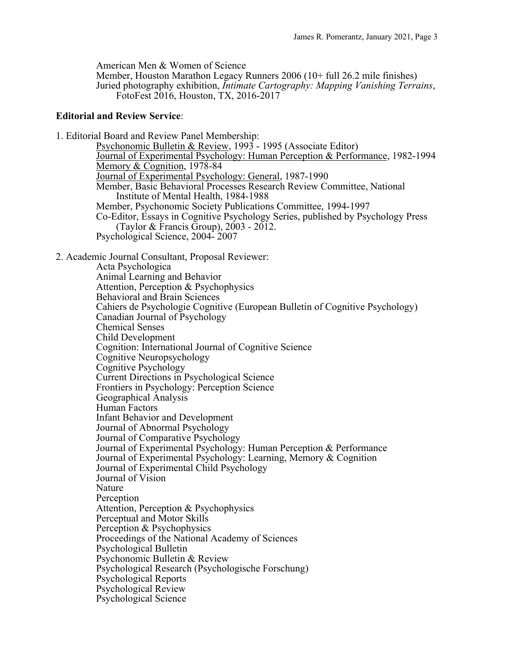American Men & Women of Science

Member, Houston Marathon Legacy Runners 2006 (10+ full 26.2 mile finishes) Juried photography exhibition, *Intimate Cartography: Mapping Vanishing Terrains*, FotoFest 2016, Houston, TX, 2016-2017

## **Editorial and Review Service**:

1. Editorial Board and Review Panel Membership: Psychonomic Bulletin & Review, 1993 - 1995 (Associate Editor) Journal of Experimental Psychology: Human Perception & Performance, 1982-1994 Memory & Cognition, 1978-84 Journal of Experimental Psychology: General, 1987-1990 Member, Basic Behavioral Processes Research Review Committee, National Institute of Mental Health, 1984-1988 Member, Psychonomic Society Publications Committee, 1994-1997 Co-Editor, Essays in Cognitive Psychology Series, published by Psychology Press (Taylor & Francis Group), 2003 - 2012. Psychological Science, 2004- <sup>2007</sup>

## 2. Academic Journal Consultant, Proposal Reviewer:

Acta Psychologica Animal Learning and Behavior Attention, Perception & Psychophysics Behavioral and Brain Sciences Cahiers de Psychologie Cognitive (European Bulletin of Cognitive Psychology) Canadian Journal of Psychology Chemical Senses Child Development Cognition: International Journal of Cognitive Science Cognitive Neuropsychology Cognitive Psychology Current Directions in Psychological Science Frontiers in Psychology: Perception Science Geographical Analysis Human Factors Infant Behavior and Development Journal of Abnormal Psychology Journal of Comparative Psychology Journal of Experimental Psychology: Human Perception & Performance Journal of Experimental Psychology: Learning, Memory & Cognition Journal of Experimental Child Psychology Journal of Vision Nature Perception Attention, Perception & Psychophysics Perceptual and Motor Skills Perception & Psychophysics Proceedings of the National Academy of Sciences Psychological Bulletin Psychonomic Bulletin & Review Psychological Research (Psychologische Forschung) Psychological Reports Psychological Review Psychological Science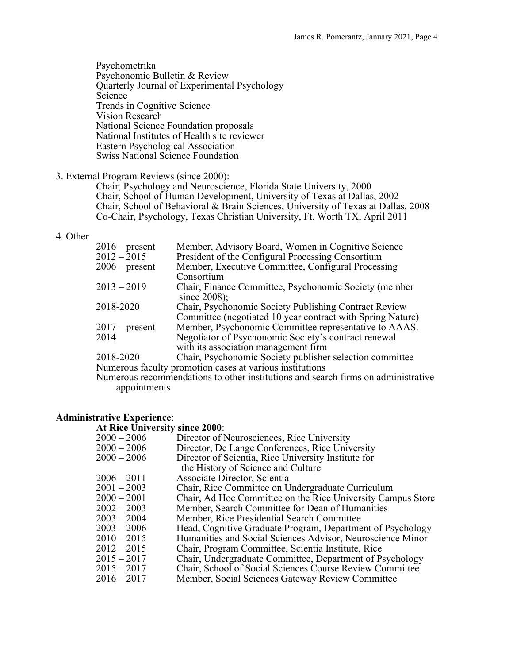Psychometrika Psychonomic Bulletin & Review Quarterly Journal of Experimental Psychology Science Trends in Cognitive Science Vision Research National Science Foundation proposals National Institutes of Health site reviewer Eastern Psychological Association Swiss National Science Foundation

#### 3. External Program Reviews (since 2000):

Chair, Psychology and Neuroscience, Florida State University, 2000 Chair, School of Human Development, University of Texas at Dallas, 2002 Chair, School of Behavioral & Brain Sciences, University of Texas at Dallas, 2008 Co-Chair, Psychology, Texas Christian University, Ft. Worth TX, April 2011

## 4. Other

| $2016$ – present | Member, Advisory Board, Women in Cognitive Science                                |
|------------------|-----------------------------------------------------------------------------------|
| $2012 - 2015$    | President of the Configural Processing Consortium                                 |
| $2006$ – present | Member, Executive Committee, Configural Processing                                |
|                  | Consortium                                                                        |
| $2013 - 2019$    | Chair, Finance Committee, Psychonomic Society (member                             |
|                  | since 2008);                                                                      |
| 2018-2020        | Chair, Psychonomic Society Publishing Contract Review                             |
|                  | Committee (negotiated 10 year contract with Spring Nature)                        |
| $2017$ – present | Member, Psychonomic Committee representative to AAAS.                             |
| 2014             | Negotiator of Psychonomic Society's contract renewal                              |
|                  | with its association management firm                                              |
| 2018-2020        | Chair, Psychonomic Society publisher selection committee                          |
|                  | Numerous faculty promotion cases at various institutions                          |
|                  | Numerous recommendations to other institutions and search firms on administrative |

appointments

#### **Administrative Experience**:

| <b>At Rice University since 2000:</b> |                                                             |
|---------------------------------------|-------------------------------------------------------------|
| $2000 - 2006$                         | Director of Neurosciences, Rice University                  |
| $2000 - 2006$                         | Director, De Lange Conferences, Rice University             |
| $2000 - 2006$                         | Director of Scientia, Rice University Institute for         |
|                                       | the History of Science and Culture                          |
| 2006 – 2011                           | Associate Director, Scientia                                |
| $2001 - 2003$                         | Chair, Rice Committee on Undergraduate Curriculum           |
| $2000 - 2001$                         | Chair, Ad Hoc Committee on the Rice University Campus Store |
| $2002 - 2003$                         | Member, Search Committee for Dean of Humanities             |
| $2003 - 2004$                         | Member, Rice Presidential Search Committee                  |
| $2003 - 2006$                         | Head, Cognitive Graduate Program, Department of Psychology  |
| $2010 - 2015$                         | Humanities and Social Sciences Advisor, Neuroscience Minor  |
| $2012 - 2015$                         | Chair, Program Committee, Scientia Institute, Rice          |
| 2015 – 2017                           | Chair, Undergraduate Committee, Department of Psychology    |
| 2015 – 2017                           | Chair, School of Social Sciences Course Review Committee    |
| 2016 – 2017                           | Member, Social Sciences Gateway Review Committee            |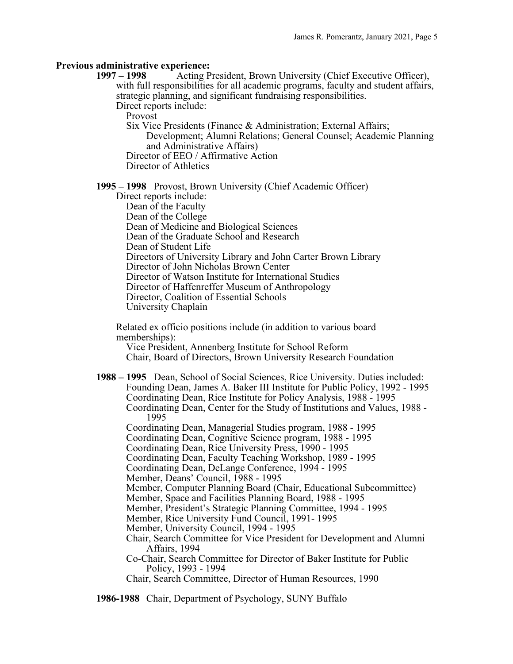### **Previous administrative experience:**

**1997 – 1998** Acting President, Brown University (Chief Executive Officer), with full responsibilities for all academic programs, faculty and student affairs, strategic planning, and significant fundraising responsibilities.

Direct reports include:

Provost

Six Vice Presidents (Finance & Administration; External Affairs; Development; Alumni Relations; General Counsel; Academic Planning and Administrative Affairs) Director of EEO / Affirmative Action

Director of Athletics

**1995 – 1998** Provost, Brown University (Chief Academic Officer)

Direct reports include: Dean of the Faculty Dean of the College Dean of Medicine and Biological Sciences Dean of the Graduate School and Research Dean of Student Life Directors of University Library and John Carter Brown Library Director of John Nicholas Brown Center Director of Watson Institute for International Studies Director of Haffenreffer Museum of Anthropology Director, Coalition of Essential Schools University Chaplain

Related ex officio positions include (in addition to various board memberships):

Vice President, Annenberg Institute for School Reform Chair, Board of Directors, Brown University Research Foundation

**1988 – 1995** Dean, School of Social Sciences, Rice University. Duties included: Founding Dean, James A. Baker III Institute for Public Policy, 1992 - 1995 Coordinating Dean, Rice Institute for Policy Analysis, 1988 - 1995 Coordinating Dean, Center for the Study of Institutions and Values, 1988 - 1995 Coordinating Dean, Managerial Studies program, 1988 - 1995 Coordinating Dean, Cognitive Science program, 1988 - 1995 Coordinating Dean, Rice University Press, 1990 - 1995 Coordinating Dean, Faculty Teaching Workshop, 1989 - 1995 Coordinating Dean, DeLange Conference, 1994 - 1995 Member, Deans' Council, 1988 - 1995 Member, Computer Planning Board (Chair, Educational Subcommittee) Member, Space and Facilities Planning Board, 1988 - 1995 Member, President's Strategic Planning Committee, 1994 - 1995 Member, Rice University Fund Council, 1991- 1995 Member, University Council, 1994 - 1995 Chair, Search Committee for Vice President for Development and Alumni Affairs, 1994 Co-Chair, Search Committee for Director of Baker Institute for Public Policy, 1993 - 1994 Chair, Search Committee, Director of Human Resources, 1990

**1986-1988** Chair, Department of Psychology, SUNY Buffalo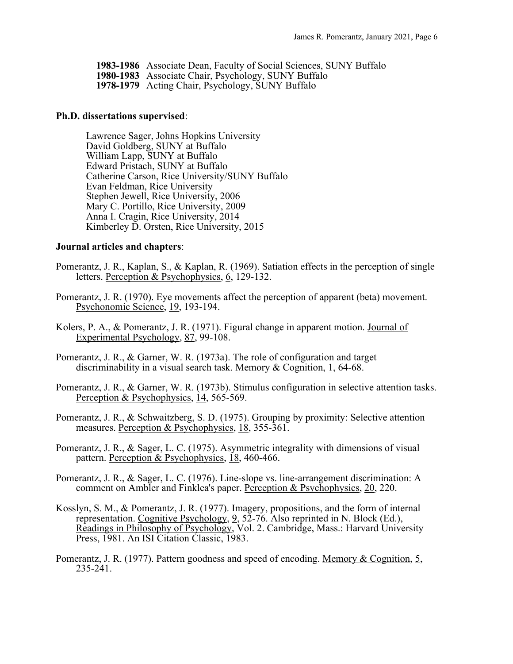- **1983-1986** Associate Dean, Faculty of Social Sciences, SUNY Buffalo
- **1980-1983** Associate Chair, Psychology, SUNY Buffalo
- **1978-1979** Acting Chair, Psychology, SUNY Buffalo

#### **Ph.D. dissertations supervised**:

Lawrence Sager, Johns Hopkins University David Goldberg, SUNY at Buffalo William Lapp, SUNY at Buffalo Edward Pristach, SUNY at Buffalo Catherine Carson, Rice University/SUNY Buffalo Evan Feldman, Rice University Stephen Jewell, Rice University, 2006 Mary C. Portillo, Rice University, 2009 Anna I. Cragin, Rice University, 2014 Kimberley D. Orsten, Rice University, 2015

#### **Journal articles and chapters**:

- Pomerantz, J. R., Kaplan, S., & Kaplan, R. (1969). Satiation effects in the perception of single letters. Perception & Psychophysics, 6, 129-132.
- Pomerantz, J. R. (1970). Eye movements affect the perception of apparent (beta) movement. Psychonomic Science, 19, 193-194.
- Kolers, P. A., & Pomerantz, J. R. (1971). Figural change in apparent motion. Journal of Experimental Psychology, 87, 99-108.
- Pomerantz, J. R., & Garner, W. R. (1973a). The role of configuration and target discriminability in a visual search task. Memory & Cognition, 1, 64-68.
- Pomerantz, J. R., & Garner, W. R. (1973b). Stimulus configuration in selective attention tasks. Perception & Psychophysics, 14, 565-569.
- Pomerantz, J. R., & Schwaitzberg, S. D. (1975). Grouping by proximity: Selective attention measures. Perception & Psychophysics, 18, 355-361.
- Pomerantz, J. R., & Sager, L. C. (1975). Asymmetric integrality with dimensions of visual pattern. Perception & Psychophysics, 18, 460-466.
- Pomerantz, J. R., & Sager, L. C. (1976). Line-slope vs. line-arrangement discrimination: A comment on Ambler and Finklea's paper. Perception & Psychophysics, 20, 220.
- Kosslyn, S. M., & Pomerantz, J. R. (1977). Imagery, propositions, and the form of internal representation. Cognitive Psychology, 9, 52-76. Also reprinted in N. Block (Ed.), Readings in Philosophy of Psychology, Vol. 2. Cambridge, Mass.: Harvard University Press, 1981. An ISI Citation Classic, 1983.
- Pomerantz, J. R. (1977). Pattern goodness and speed of encoding. Memory & Cognition, 5, 235-241.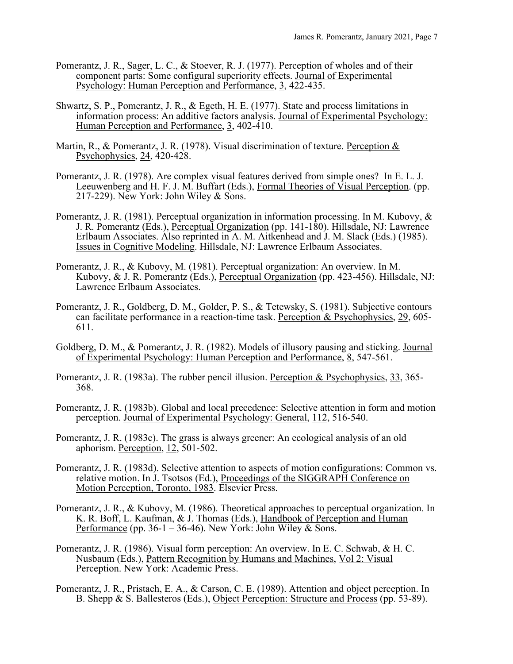- Pomerantz, J. R., Sager, L. C., & Stoever, R. J. (1977). Perception of wholes and of their component parts: Some configural superiority effects. Journal of Experimental Psychology: Human Perception and Performance, 3, 422-435.
- Shwartz, S. P., Pomerantz, J. R., & Egeth, H. E. (1977). State and process limitations in information process: An additive factors analysis. Journal of Experimental Psychology: Human Perception and Performance, 3, 402-410.
- Martin, R., & Pomerantz, J. R. (1978). Visual discrimination of texture. Perception & Psychophysics, 24, 420-428.
- Pomerantz, J. R. (1978). Are complex visual features derived from simple ones? In E. L. J. Leeuwenberg and H. F. J. M. Buffart (Eds.), Formal Theories of Visual Perception. (pp. 217-229). New York: John Wiley & Sons.
- Pomerantz, J. R. (1981). Perceptual organization in information processing. In M. Kubovy, & J. R. Pomerantz (Eds.), Perceptual Organization (pp. 141-180). Hillsdale, NJ: Lawrence Erlbaum Associates. Also reprinted in A. M. Aitkenhead and J. M. Slack (Eds.) (1985). Issues in Cognitive Modeling. Hillsdale, NJ: Lawrence Erlbaum Associates.
- Pomerantz, J. R., & Kubovy, M. (1981). Perceptual organization: An overview. In M. Kubovy, & J. R. Pomerantz (Eds.), Perceptual Organization (pp. 423-456). Hillsdale, NJ: Lawrence Erlbaum Associates.
- Pomerantz, J. R., Goldberg, D. M., Golder, P. S., & Tetewsky, S. (1981). Subjective contours can facilitate performance in a reaction-time task. Perception & Psychophysics, 29, 605- 611.
- Goldberg, D. M., & Pomerantz, J. R. (1982). Models of illusory pausing and sticking. Journal of Experimental Psychology: Human Perception and Performance, 8, 547-561.
- Pomerantz, J. R. (1983a). The rubber pencil illusion. Perception & Psychophysics, 33, 365-<br>368.
- Pomerantz, J. R. (1983b). Global and local precedence: Selective attention in form and motion perception. Journal of Experimental Psychology: General, 112, 516-540.
- Pomerantz, J. R. (1983c). The grass is always greener: An ecological analysis of an old aphorism. Perception, 12, 501-502.
- Pomerantz, J. R. (1983d). Selective attention to aspects of motion configurations: Common vs. relative motion. In J. Tsotsos (Ed.), Proceedings of the SIGGRAPH Conference on Motion Perception, Toronto, 1983. Elsevier Press.
- Pomerantz, J. R., & Kubovy, M. (1986). Theoretical approaches to perceptual organization. In K. R. Boff, L. Kaufman, & J. Thomas (Eds.), Handbook of Perception and Human Performance (pp. 36-1 – 36-46). New York: John Wiley & Sons.
- Pomerantz, J. R. (1986). Visual form perception: An overview. In E. C. Schwab, & H. C. Nusbaum (Eds.), Pattern Recognition by Humans and Machines, Vol 2: Visual Perception. New York: Academic Press.
- Pomerantz, J. R., Pristach, E. A., & Carson, C. E. (1989). Attention and object perception. In B. Shepp & S. Ballesteros (Eds.), Object Perception: Structure and Process (pp. 53-89).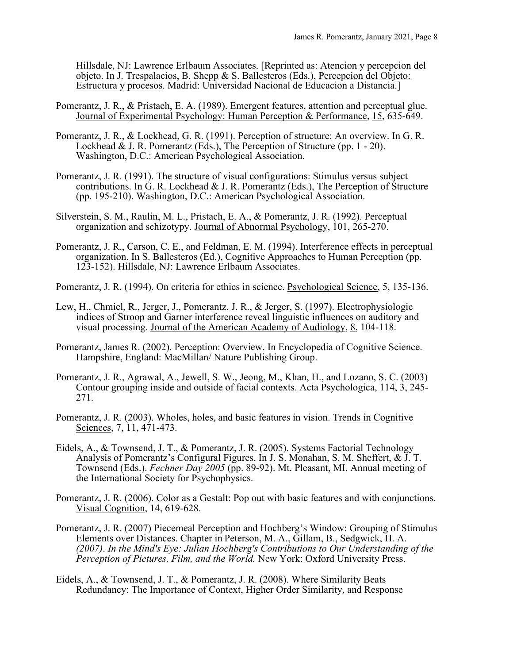Hillsdale, NJ: Lawrence Erlbaum Associates. [Reprinted as: Atencion y percepcion del objeto. In J. Trespalacios, B. Shepp & S. Ballesteros (Eds.), Percepcion del Objeto: Estructura y procesos. Madrid: Universidad Nacional de Educacion a Distancia.]

- Pomerantz, J. R., & Pristach, E. A. (1989). Emergent features, attention and perceptual glue. Journal of Experimental Psychology: Human Perception & Performance, 15, 635-649.
- Pomerantz, J. R., & Lockhead, G. R. (1991). Perception of structure: An overview. In G. R. Lockhead & J. R. Pomerantz (Eds.), The Perception of Structure (pp. 1 - 20). Washington, D.C.: American Psychological Association.
- Pomerantz, J. R. (1991). The structure of visual configurations: Stimulus versus subject contributions. In G. R. Lockhead & J. R. Pomerantz (Eds.), The Perception of Structure (pp. 195-210). Washington, D.C.: American Psychological Association.
- Silverstein, S. M., Raulin, M. L., Pristach, E. A., & Pomerantz, J. R. (1992). Perceptual organization and schizotypy. Journal of Abnormal Psychology, 101, 265-270.
- Pomerantz, J. R., Carson, C. E., and Feldman, E. M. (1994). Interference effects in perceptual organization. In S. Ballesteros (Ed.), Cognitive Approaches to Human Perception (pp. 123-152). Hillsdale, NJ: Lawrence Erlbaum Associates.
- Pomerantz, J. R. (1994). On criteria for ethics in science. Psychological Science, 5, 135-136.
- Lew, H., Chmiel, R., Jerger, J., Pomerantz, J. R., & Jerger, S. (1997). Electrophysiologic indices of Stroop and Garner interference reveal linguistic influences on auditory and visual processing. Journal of the American Academy of Audiology, 8, 104-118.
- Pomerantz, James R. (2002). Perception: Overview. In Encyclopedia of Cognitive Science. Hampshire, England: MacMillan/ Nature Publishing Group.
- Pomerantz, J. R., Agrawal, A., Jewell, S. W., Jeong, M., Khan, H., and Lozano, S. C. (2003) Contour grouping inside and outside of facial contexts. Acta Psychologica, 114, 3, 245-<br>271.
- Pomerantz, J. R. (2003). Wholes, holes, and basic features in vision. Trends in Cognitive Sciences, 7, 11, 471-473.
- Eidels, A., & Townsend, J. T., & Pomerantz, J. R. (2005). Systems Factorial Technology Analysis of Pomerantz's Configural Figures. In J. S. Monahan, S. M. Sheffert, & J. T. Townsend (Eds.). *Fechner Day 2005* (pp. 89-92). Mt. Pleasant, MI. Annual meeting of the International Society for Psychophysics.
- Pomerantz, J. R. (2006). Color as a Gestalt: Pop out with basic features and with conjunctions. Visual Cognition, 14, 619-628.
- Pomerantz, J. R. (2007) Piecemeal Perception and Hochberg's Window: Grouping of Stimulus Elements over Distances. Chapter in Peterson, M. A., Gillam, B., Sedgwick, H. A. *(2007)*. *In the Mind's Eye: Julian Hochberg's Contributions to Our Understanding of the Perception of Pictures, Film, and the World.* New York: Oxford University Press.
- Eidels, A., & Townsend, J. T., & Pomerantz, J. R. (2008). Where Similarity Beats Redundancy: The Importance of Context, Higher Order Similarity, and Response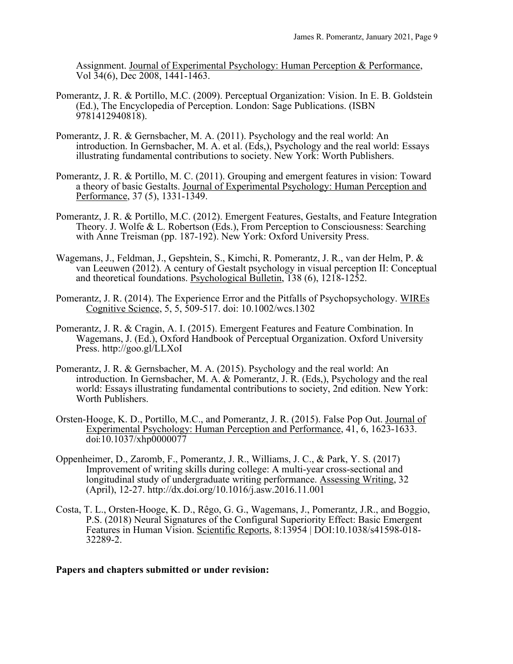Assignment. Journal of Experimental Psychology: Human Perception & Performance, Vol 34(6), Dec 2008, 1441-1463.

- Pomerantz, J. R. & Portillo, M.C. (2009). Perceptual Organization: Vision. In E. B. Goldstein (Ed.), The Encyclopedia of Perception. London: Sage Publications. (ISBN 9781412940818).
- Pomerantz, J. R. & Gernsbacher, M. A. (2011). Psychology and the real world: An introduction. In Gernsbacher, M. A. et al. (Eds,), Psychology and the real world: Essays illustrating fundamental contributions to society. New York: Worth Publishers.
- Pomerantz, J. R. & Portillo, M. C. (2011). Grouping and emergent features in vision: Toward a theory of basic Gestalts. Journal of Experimental Psychology: Human Perception and Performance, 37 (5), 1331-1349.
- Pomerantz, J. R. & Portillo, M.C. (2012). Emergent Features, Gestalts, and Feature Integration Theory. J. Wolfe & L. Robertson (Eds.), From Perception to Consciousness: Searching with Anne Treisman (pp. 187-192). New York: Oxford University Press.
- Wagemans, J., Feldman, J., Gepshtein, S., Kimchi, R. Pomerantz, J. R., van der Helm, P. & van Leeuwen (2012). A century of Gestalt psychology in visual perception II: Conceptual and theoretical foundations. Psychological Bulletin, 138 (6), 1218-1252.
- Pomerantz, J. R. (2014). The Experience Error and the Pitfalls of Psychopsychology. WIREs Cognitive Science, 5, 5, 509-517. doi: 10.1002/wcs.1302
- Pomerantz, J. R. & Cragin, A. I. (2015). Emergent Features and Feature Combination. In Wagemans, J. (Ed.), Oxford Handbook of Perceptual Organization. Oxford University Press. http://goo.gl/LLXoI
- Pomerantz, J. R. & Gernsbacher, M. A. (2015). Psychology and the real world: An introduction. In Gernsbacher, M. A. & Pomerantz, J. R. (Eds,), Psychology and the real world: Essays illustrating fundamental contributions to society, 2nd edition. New York: Worth Publishers.
- Orsten-Hooge, K. D., Portillo, M.C., and Pomerantz, J. R. (2015). False Pop Out. Journal of Experimental Psychology: Human Perception and Performance, 41, 6, 1623-1633. doi:10.1037/xhp0000077
- Oppenheimer, D., Zaromb, F., Pomerantz, J. R., Williams, J. C., & Park, Y. S. (2017) Improvement of writing skills during college: A multi-year cross-sectional and longitudinal study of undergraduate writing performance. Assessing Writing, 32 (April), 12-27. http://dx.doi.org/10.1016/j.asw.2016.11.001
- Costa, T. L., Orsten-Hooge, K. D., Rêgo, G. G., Wagemans, J., Pomerantz, J.R., and Boggio, P.S. (2018) Neural Signatures of the Configural Superiority Effect: Basic Emergent Features in Human Vision. Scientific Reports, 8:13954 | DOI:10.1038/s41598-018- 32289-2.

## **Papers and chapters submitted or under revision:**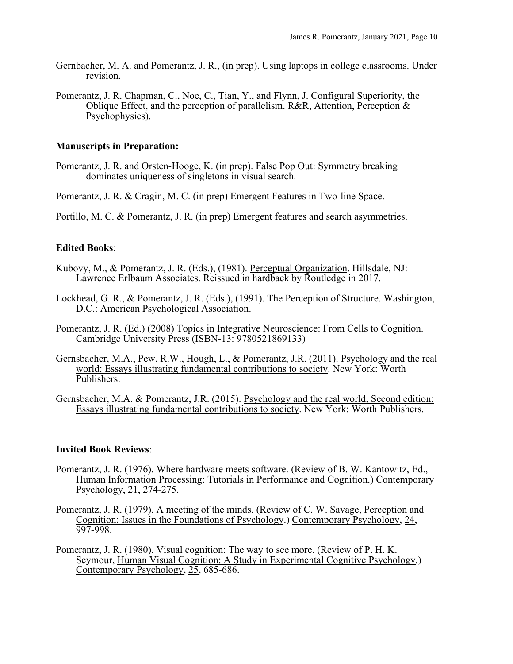- Gernbacher, M. A. and Pomerantz, J. R., (in prep). Using laptops in college classrooms. Under revision.
- Pomerantz, J. R. Chapman, C., Noe, C., Tian, Y., and Flynn, J. Configural Superiority, the Oblique Effect, and the perception of parallelism. R&R, Attention, Perception & Psychophysics).

#### **Manuscripts in Preparation:**

Pomerantz, J. R. and Orsten-Hooge, K. (in prep). False Pop Out: Symmetry breaking dominates uniqueness of singletons in visual search.

Pomerantz, J. R. & Cragin, M. C. (in prep) Emergent Features in Two-line Space.

Portillo, M. C. & Pomerantz, J. R. (in prep) Emergent features and search asymmetries.

## **Edited Books**:

- Kubovy, M., & Pomerantz, J. R. (Eds.), (1981). Perceptual Organization. Hillsdale, NJ: Lawrence Erlbaum Associates. Reissued in hardback by Routledge in 2017.
- Lockhead, G. R., & Pomerantz, J. R. (Eds.), (1991). The Perception of Structure. Washington, D.C.: American Psychological Association.
- Pomerantz, J. R. (Ed.) (2008) Topics in Integrative Neuroscience: From Cells to Cognition. Cambridge University Press (ISBN-13: 9780521869133)
- Gernsbacher, M.A., Pew, R.W., Hough, L., & Pomerantz, J.R. (2011). Psychology and the real world: Essays illustrating fundamental contributions to society. New York: Worth Publishers.
- Gernsbacher, M.A. & Pomerantz, J.R. (2015). Psychology and the real world, Second edition: Essays illustrating fundamental contributions to society. New York: Worth Publishers.

#### **Invited Book Reviews**:

- Pomerantz, J. R. (1976). Where hardware meets software. (Review of B. W. Kantowitz, Ed., Human Information Processing: Tutorials in Performance and Cognition.) Contemporary Psychology, 21, 274-275.
- Pomerantz, J. R. (1979). A meeting of the minds. (Review of C. W. Savage, Perception and Cognition: Issues in the Foundations of Psychology.) Contemporary Psychology, 24, 997-998.
- Pomerantz, J. R. (1980). Visual cognition: The way to see more. (Review of P. H. K. Seymour, Human Visual Cognition: A Study in Experimental Cognitive Psychology.) Contemporary Psychology, 25, 685-686.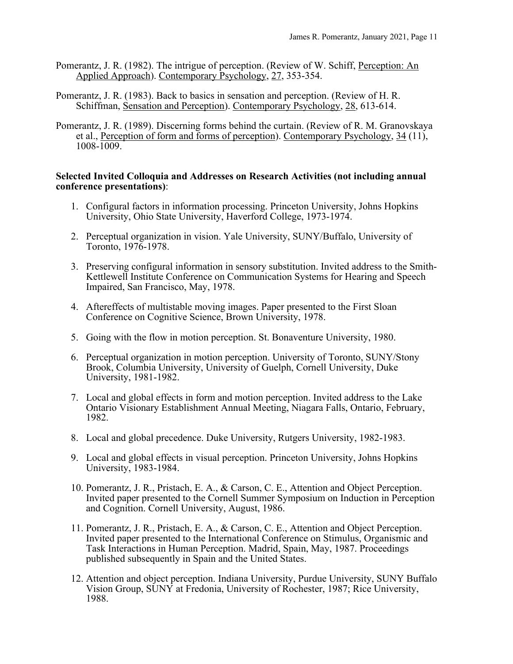- Pomerantz, J. R. (1982). The intrigue of perception. (Review of W. Schiff, Perception: An Applied Approach). Contemporary Psychology, 27, 353-354.
- Pomerantz, J. R. (1983). Back to basics in sensation and perception. (Review of H. R. Schiffman, Sensation and Perception). Contemporary Psychology, 28, 613-614.
- Pomerantz, J. R. (1989). Discerning forms behind the curtain. (Review of R. M. Granovskaya et al., Perception of form and forms of perception). Contemporary Psychology, 34 (11), 1008-1009.

## **Selected Invited Colloquia and Addresses on Research Activities (not including annual conference presentations)**:

- 1. Configural factors in information processing. Princeton University, Johns Hopkins University, Ohio State University, Haverford College, 1973-1974.
- 2. Perceptual organization in vision. Yale University, SUNY/Buffalo, University of Toronto, 1976-1978.
- 3. Preserving configural information in sensory substitution. Invited address to the Smith-Kettlewell Institute Conference on Communication Systems for Hearing and Speech Impaired, San Francisco, May, 1978.
- 4. Aftereffects of multistable moving images. Paper presented to the First Sloan Conference on Cognitive Science, Brown University, 1978.
- 5. Going with the flow in motion perception. St. Bonaventure University, 1980.
- 6. Perceptual organization in motion perception. University of Toronto, SUNY/Stony Brook, Columbia University, University of Guelph, Cornell University, Duke University, 1981-1982.
- 7. Local and global effects in form and motion perception. Invited address to the Lake Ontario Visionary Establishment Annual Meeting, Niagara Falls, Ontario, February, 1982.
- 8. Local and global precedence. Duke University, Rutgers University, 1982-1983.
- 9. Local and global effects in visual perception. Princeton University, Johns Hopkins University, 1983-1984.
- 10. Pomerantz, J. R., Pristach, E. A., & Carson, C. E., Attention and Object Perception. Invited paper presented to the Cornell Summer Symposium on Induction in Perception and Cognition. Cornell University, August, 1986.
- 11. Pomerantz, J. R., Pristach, E. A., & Carson, C. E., Attention and Object Perception. Invited paper presented to the International Conference on Stimulus, Organismic and Task Interactions in Human Perception. Madrid, Spain, May, 1987. Proceedings published subsequently in Spain and the United States.
- 12. Attention and object perception. Indiana University, Purdue University, SUNY Buffalo Vision Group, SUNY at Fredonia, University of Rochester, 1987; Rice University, 1988.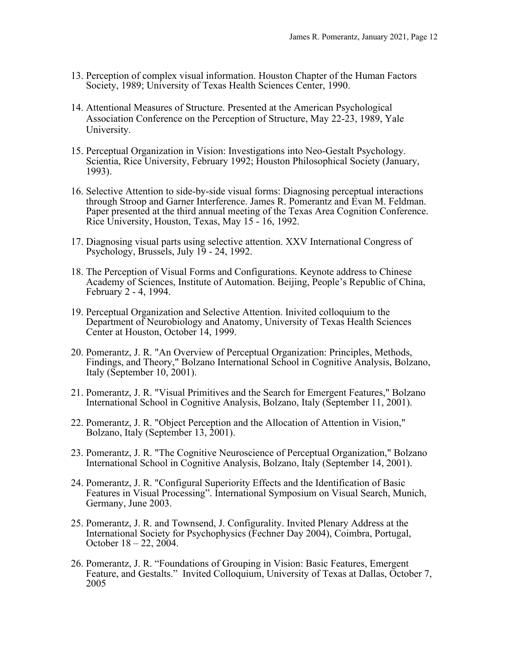- 13. Perception of complex visual information. Houston Chapter of the Human Factors Society, 1989; University of Texas Health Sciences Center, 1990.
- 14. Attentional Measures of Structure. Presented at the American Psychological Association Conference on the Perception of Structure, May 22-23, 1989, Yale University.
- 15. Perceptual Organization in Vision: Investigations into Neo-Gestalt Psychology. Scientia, Rice University, February 1992; Houston Philosophical Society (January, 1993).
- 16. Selective Attention to side-by-side visual forms: Diagnosing perceptual interactions through Stroop and Garner Interference. James R. Pomerantz and Evan M. Feldman. Paper presented at the third annual meeting of the Texas Area Cognition Conference. Rice University, Houston, Texas, May 15 - 16, 1992.
- 17. Diagnosing visual parts using selective attention. XXV International Congress of Psychology, Brussels, July 19 - 24, 1992.
- 18. The Perception of Visual Forms and Configurations. Keynote address to Chinese Academy of Sciences, Institute of Automation. Beijing, People's Republic of China, February 2 - 4, 1994.
- 19. Perceptual Organization and Selective Attention. Inivited colloquium to the Department of Neurobiology and Anatomy, University of Texas Health Sciences Center at Houston, October 14, 1999.
- 20. Pomerantz, J. R. "An Overview of Perceptual Organization: Principles, Methods, Findings, and Theory," Bolzano International School in Cognitive Analysis, Bolzano, Italy (September 10, 2001).
- 21. Pomerantz, J. R. "Visual Primitives and the Search for Emergent Features," Bolzano International School in Cognitive Analysis, Bolzano, Italy (September 11, 2001).
- 22. Pomerantz, J. R. "Object Perception and the Allocation of Attention in Vision," Bolzano, Italy (September 13, 2001).
- 23. Pomerantz, J. R. "The Cognitive Neuroscience of Perceptual Organization," Bolzano International School in Cognitive Analysis, Bolzano, Italy (September 14, 2001).
- 24. Pomerantz, J. R. "Configural Superiority Effects and the Identification of Basic Features in Visual Processing". International Symposium on Visual Search, Munich, Germany, June 2003.
- 25. Pomerantz, J. R. and Townsend, J. Configurality. Invited Plenary Address at the International Society for Psychophysics (Fechner Day 2004), Coimbra, Portugal, October 18 – 22, 2004.
- 26. Pomerantz, J. R. "Foundations of Grouping in Vision: Basic Features, Emergent Feature, and Gestalts." Invited Colloquium, University of Texas at Dallas, October 7, 2005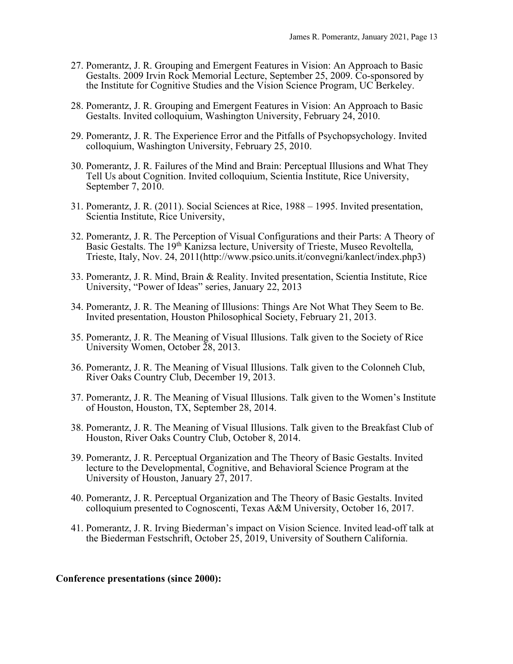- 27. Pomerantz, J. R. Grouping and Emergent Features in Vision: An Approach to Basic Gestalts. 2009 Irvin Rock Memorial Lecture, September 25, 2009. Co-sponsored by the Institute for Cognitive Studies and the Vision Science Program, UC Berkeley.
- 28. Pomerantz, J. R. Grouping and Emergent Features in Vision: An Approach to Basic Gestalts. Invited colloquium, Washington University, February 24, 2010.
- 29. Pomerantz, J. R. The Experience Error and the Pitfalls of Psychopsychology. Invited colloquium, Washington University, February 25, 2010.
- 30. Pomerantz, J. R. Failures of the Mind and Brain: Perceptual Illusions and What They Tell Us about Cognition. Invited colloquium, Scientia Institute, Rice University, September 7, 2010.
- 31. Pomerantz, J. R. (2011). Social Sciences at Rice, 1988 1995. Invited presentation, Scientia Institute, Rice University,
- 32. Pomerantz, J. R. The Perception of Visual Configurations and their Parts: A Theory of Basic Gestalts. The 19th Kanizsa lecture, University of Trieste, Museo Revoltella, Trieste, Italy, Nov. 24, 2011(http://www.psico.units.it/convegni/kanlect/index.php3)
- 33. Pomerantz, J. R. Mind, Brain & Reality. Invited presentation, Scientia Institute, Rice University, "Power of Ideas" series, January 22, 2013
- 34. Pomerantz, J. R. The Meaning of Illusions: Things Are Not What They Seem to Be. Invited presentation, Houston Philosophical Society, February 21, 2013.
- 35. Pomerantz, J. R. The Meaning of Visual Illusions. Talk given to the Society of Rice University Women, October 28, 2013.
- 36. Pomerantz, J. R. The Meaning of Visual Illusions. Talk given to the Colonneh Club, River Oaks Country Club, December 19, 2013.
- 37. Pomerantz, J. R. The Meaning of Visual Illusions. Talk given to the Women's Institute of Houston, Houston, TX, September 28, 2014.
- 38. Pomerantz, J. R. The Meaning of Visual Illusions. Talk given to the Breakfast Club of Houston, River Oaks Country Club, October 8, 2014.
- 39. Pomerantz, J. R. Perceptual Organization and The Theory of Basic Gestalts. Invited lecture to the Developmental, Cognitive, and Behavioral Science Program at the University of Houston, January 27, 2017.
- 40. Pomerantz, J. R. Perceptual Organization and The Theory of Basic Gestalts. Invited colloquium presented to Cognoscenti, Texas A&M University, October 16, 2017.
- 41. Pomerantz, J. R. Irving Biederman's impact on Vision Science. Invited lead-off talk at the Biederman Festschrift, October 25, 2019, University of Southern California.

## **Conference presentations (since 2000):**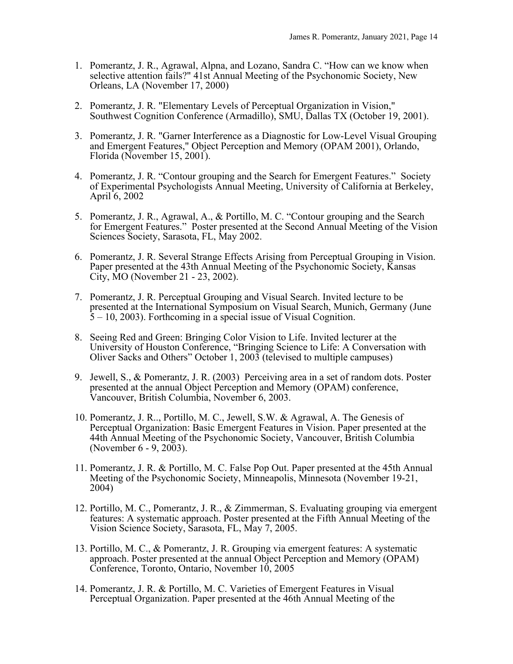- 1. Pomerantz, J. R., Agrawal, Alpna, and Lozano, Sandra C. "How can we know when selective attention fails?" 41st Annual Meeting of the Psychonomic Society, New Orleans, LA (November 17, 2000)
- 2. Pomerantz, J. R. "Elementary Levels of Perceptual Organization in Vision," Southwest Cognition Conference (Armadillo), SMU, Dallas TX (October 19, 2001).
- 3. Pomerantz, J. R. "Garner Interference as a Diagnostic for Low-Level Visual Grouping and Emergent Features," Object Perception and Memory (OPAM 2001), Orlando, Florida (November 15, 2001).
- 4. Pomerantz, J. R. "Contour grouping and the Search for Emergent Features." Society of Experimental Psychologists Annual Meeting, University of California at Berkeley, April 6, 2002
- 5. Pomerantz, J. R., Agrawal, A., & Portillo, M. C. "Contour grouping and the Search for Emergent Features." Poster presented at the Second Annual Meeting of the Vision Sciences Society, Sarasota, FL, May 2002.
- 6. Pomerantz, J. R. Several Strange Effects Arising from Perceptual Grouping in Vision. Paper presented at the 43th Annual Meeting of the Psychonomic Society, Kansas City, MO (November 21 - 23, 2002).
- 7. Pomerantz, J. R. Perceptual Grouping and Visual Search. Invited lecture to be presented at the International Symposium on Visual Search, Munich, Germany (June  $5 - 10$ , 2003). Forthcoming in a special issue of Visual Cognition.
- 8. Seeing Red and Green: Bringing Color Vision to Life. Invited lecturer at the University of Houston Conference, "Bringing Science to Life: A Conversation with Oliver Sacks and Others" October 1, 2003 (televised to multiple campuses)
- 9. Jewell, S., & Pomerantz, J. R. (2003) Perceiving area in a set of random dots. Poster presented at the annual Object Perception and Memory (OPAM) conference, Vancouver, British Columbia, November 6, 2003.
- 10. Pomerantz, J. R.., Portillo, M. C., Jewell, S.W. & Agrawal, A. The Genesis of Perceptual Organization: Basic Emergent Features in Vision. Paper presented at the 44th Annual Meeting of the Psychonomic Society, Vancouver, British Columbia (November 6 - 9, 2003).
- 11. Pomerantz, J. R. & Portillo, M. C. False Pop Out. Paper presented at the 45th Annual Meeting of the Psychonomic Society, Minneapolis, Minnesota (November 19-21, 2004)
- 12. Portillo, M. C., Pomerantz, J. R., & Zimmerman, S. Evaluating grouping via emergent features: A systematic approach. Poster presented at the Fifth Annual Meeting of the Vision Science Society, Sarasota, FL, May 7, 2005.
- 13. Portillo, M. C., & Pomerantz, J. R. Grouping via emergent features: A systematic approach. Poster presented at the annual Object Perception and Memory (OPAM) Conference, Toronto, Ontario, November 10, 2005
- 14. Pomerantz, J. R. & Portillo, M. C. Varieties of Emergent Features in Visual Perceptual Organization. Paper presented at the 46th Annual Meeting of the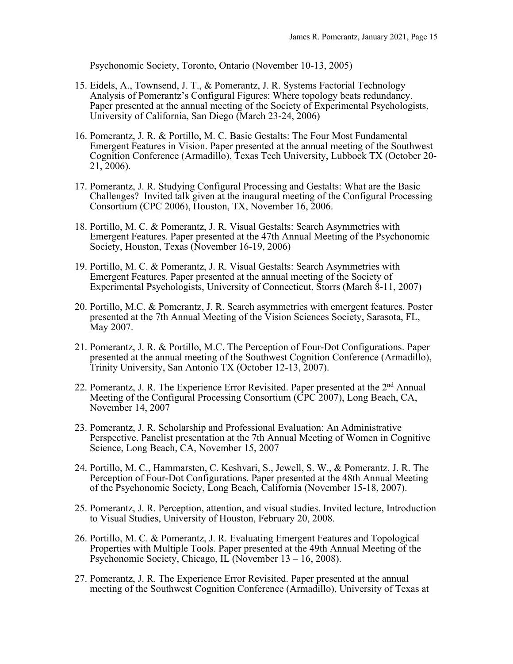Psychonomic Society, Toronto, Ontario (November 10-13, 2005)

- 15. Eidels, A., Townsend, J. T., & Pomerantz, J. R. Systems Factorial Technology Analysis of Pomerantz's Configural Figures: Where topology beats redundancy. Paper presented at the annual meeting of the Society of Experimental Psychologists, University of California, San Diego (March 23-24, 2006)
- 16. Pomerantz, J. R. & Portillo, M. C. Basic Gestalts: The Four Most Fundamental Emergent Features in Vision. Paper presented at the annual meeting of the Southwest Cognition Conference (Armadillo), Texas Tech University, Lubbock TX (October 20- 21, 2006).
- 17. Pomerantz, J. R. Studying Configural Processing and Gestalts: What are the Basic Challenges? Invited talk given at the inaugural meeting of the Configural Processing Consortium (CPC 2006), Houston, TX, November 16, 2006.
- 18. Portillo, M. C. & Pomerantz, J. R. Visual Gestalts: Search Asymmetries with Emergent Features. Paper presented at the 47th Annual Meeting of the Psychonomic Society, Houston, Texas (November 16-19, 2006)
- 19. Portillo, M. C. & Pomerantz, J. R. Visual Gestalts: Search Asymmetries with Emergent Features. Paper presented at the annual meeting of the Society of Experimental Psychologists, University of Connecticut, Storrs (March 8-11, 2007)
- 20. Portillo, M.C. & Pomerantz, J. R. Search asymmetries with emergent features. Poster presented at the 7th Annual Meeting of the Vision Sciences Society, Sarasota, FL, May 2007.
- 21. Pomerantz, J. R. & Portillo, M.C. The Perception of Four-Dot Configurations. Paper presented at the annual meeting of the Southwest Cognition Conference (Armadillo), Trinity University, San Antonio TX (October 12-13, 2007).
- 22. Pomerantz, J. R. The Experience Error Revisited. Paper presented at the 2<sup>nd</sup> Annual Meeting of the Configural Processing Consortium (CPC 2007), Long Beach, CA, November 14, 2007
- 23. Pomerantz, J. R. Scholarship and Professional Evaluation: An Administrative Perspective. Panelist presentation at the 7th Annual Meeting of Women in Cognitive Science, Long Beach, CA, November 15, 2007
- 24. Portillo, M. C., Hammarsten, C. Keshvari, S., Jewell, S. W., & Pomerantz, J. R. The Perception of Four-Dot Configurations. Paper presented at the 48th Annual Meeting of the Psychonomic Society, Long Beach, California (November 15-18, 2007).
- 25. Pomerantz, J. R. Perception, attention, and visual studies. Invited lecture, Introduction to Visual Studies, University of Houston, February 20, 2008.
- 26. Portillo, M. C. & Pomerantz, J. R. Evaluating Emergent Features and Topological Properties with Multiple Tools. Paper presented at the 49th Annual Meeting of the Psychonomic Society, Chicago, IL (November 13 – 16, 2008).
- 27. Pomerantz, J. R. The Experience Error Revisited. Paper presented at the annual meeting of the Southwest Cognition Conference (Armadillo), University of Texas at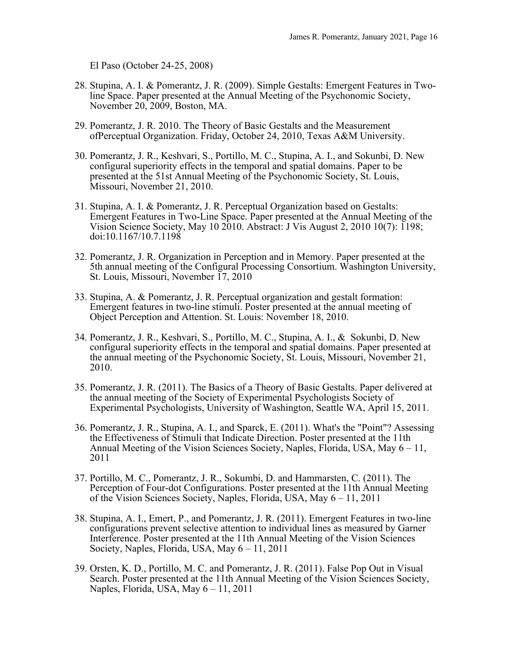El Paso (October 24-25, 2008)

- 28. Stupina, A. I. & Pomerantz, J. R. (2009). Simple Gestalts: Emergent Features in Two- line Space. Paper presented at the Annual Meeting of the Psychonomic Society, November 20, 2009, Boston, MA.
- 29. Pomerantz, J. R. 2010. The Theory of Basic Gestalts and the Measurement ofPerceptual Organization. Friday, October 24, 2010, Texas A&M University.
- 30. Pomerantz, J. R., Keshvari, S., Portillo, M. C., Stupina, A. I., and Sokunbi, D. New configural superiority effects in the temporal and spatial domains. Paper to be presented at the 51st Annual Meeting of the Psychonomic Society, St. Louis, Missouri, November 21, 2010.
- 31. Stupina, A. I. & Pomerantz, J. R. Perceptual Organization based on Gestalts: Emergent Features in Two-Line Space. Paper presented at the Annual Meeting of the Vision Science Society, May 10 2010. Abstract: J Vis August 2, 2010 10(7): 1198; doi:10.1167/10.7.1198
- 32. Pomerantz, J. R. Organization in Perception and in Memory. Paper presented at the 5th annual meeting of the Configural Processing Consortium. Washington University, St. Louis, Missouri, November 17, 2010
- 33. Stupina, A. & Pomerantz, J. R. Perceptual organization and gestalt formation: Emergent features in two-line stimuli. Poster presented at the annual meeting of Object Perception and Attention. St. Louis: November 18, 2010.
- 34. Pomerantz, J. R., Keshvari, S., Portillo, M. C., Stupina, A. I., & Sokunbi, D. New configural superiority effects in the temporal and spatial domains. Paper presented at the annual meeting of the Psychonomic Society, St. Louis, Missouri, November 21, 2010.
- 35. Pomerantz, J. R. (2011). The Basics of a Theory of Basic Gestalts. Paper delivered at the annual meeting of the Society of Experimental Psychologists Society of Experimental Psychologists, University of Washington, Seattle WA, April 15, 2011.
- 36. Pomerantz, J. R., Stupina, A. I., and Sparck, E. (2011). What's the "Point"? Assessing the Effectiveness of Stimuli that Indicate Direction. Poster presented at the 11th Annual Meeting of the Vision Sciences Society, Naples, Florida, USA, May  $6 - 11$ , 2011
- 37. Portillo, M. C., Pomerantz, J. R., Sokumbi, D. and Hammarsten, C. (2011). The Perception of Four-dot Configurations. Poster presented at the 11th Annual Meeting of the Vision Sciences Society, Naples, Florida, USA, May 6 – 11, 2011
- 38. Stupina, A. I., Emert, P., and Pomerantz, J. R. (2011). Emergent Features in two-line configurations prevent selective attention to individual lines as measured by Garner Interference. Poster presented at the 11th Annual Meeting of the Vision Sciences Society, Naples, Florida, USA, May 6 – 11, 2011
- 39. Orsten, K. D., Portillo, M. C. and Pomerantz, J. R. (2011). False Pop Out in Visual Search. Poster presented at the 11th Annual Meeting of the Vision Sciences Society, Naples, Florida, USA, May 6 – 11, 2011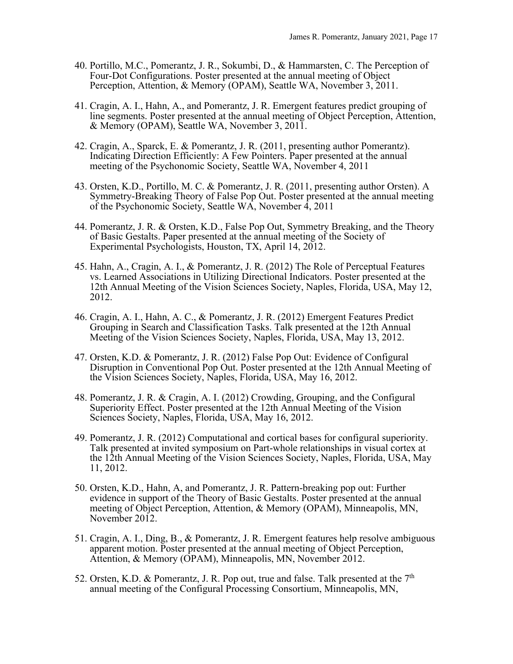- 40. Portillo, M.C., Pomerantz, J. R., Sokumbi, D., & Hammarsten, C. The Perception of Four-Dot Configurations. Poster presented at the annual meeting of Object Perception, Attention, & Memory (OPAM), Seattle WA, November 3, 2011.
- 41. Cragin, A. I., Hahn, A., and Pomerantz, J. R. Emergent features predict grouping of line segments. Poster presented at the annual meeting of Object Perception, Attention, & Memory (OPAM), Seattle WA, November 3, 2011.
- 42. Cragin, A., Sparck, E. & Pomerantz, J. R. (2011, presenting author Pomerantz). Indicating Direction Efficiently: A Few Pointers. Paper presented at the annual meeting of the Psychonomic Society, Seattle WA, November 4, 2011
- 43. Orsten, K.D., Portillo, M. C. & Pomerantz, J. R. (2011, presenting author Orsten). A Symmetry-Breaking Theory of False Pop Out. Poster presented at the annual meeting of the Psychonomic Society, Seattle WA, November 4, 2011
- 44. Pomerantz, J. R. & Orsten, K.D., False Pop Out, Symmetry Breaking, and the Theory of Basic Gestalts. Paper presented at the annual meeting of the Society of Experimental Psychologists, Houston, TX, April 14, 2012.
- 45. Hahn, A., Cragin, A. I., & Pomerantz, J. R. (2012) The Role of Perceptual Features vs. Learned Associations in Utilizing Directional Indicators. Poster presented at the 12th Annual Meeting of the Vision Sciences Society, Naples, Florida, USA, May 12, 2012.
- 46. Cragin, A. I., Hahn, A. C., & Pomerantz, J. R. (2012) Emergent Features Predict Grouping in Search and Classification Tasks. Talk presented at the 12th Annual Meeting of the Vision Sciences Society, Naples, Florida, USA, May 13, 2012.
- 47. Orsten, K.D. & Pomerantz, J. R. (2012) False Pop Out: Evidence of Configural Disruption in Conventional Pop Out. Poster presented at the 12th Annual Meeting of the Vision Sciences Society, Naples, Florida, USA, May 16, 2012.
- 48. Pomerantz, J. R. & Cragin, A. I. (2012) Crowding, Grouping, and the Configural Superiority Effect. Poster presented at the 12th Annual Meeting of the Vision Sciences Society, Naples, Florida, USA, May 16, 2012.
- 49. Pomerantz, J. R. (2012) Computational and cortical bases for configural superiority. Talk presented at invited symposium on Part-whole relationships in visual cortex at the 12th Annual Meeting of the Vision Sciences Society, Naples, Florida, USA, May 11, 2012.
- 50. Orsten, K.D., Hahn, A, and Pomerantz, J. R. Pattern-breaking pop out: Further evidence in support of the Theory of Basic Gestalts. Poster presented at the annual meeting of Object Perception, Attention, & Memory (OPAM), Minneapolis, MN, November 2012.
- 51. Cragin, A. I., Ding, B., & Pomerantz, J. R. Emergent features help resolve ambiguous apparent motion. Poster presented at the annual meeting of Object Perception, Attention, & Memory (OPAM), Minneapolis, MN, November 2012.
- 52. Orsten, K.D. & Pomerantz, J. R. Pop out, true and false. Talk presented at the  $7<sup>th</sup>$ annual meeting of the Configural Processing Consortium, Minneapolis, MN,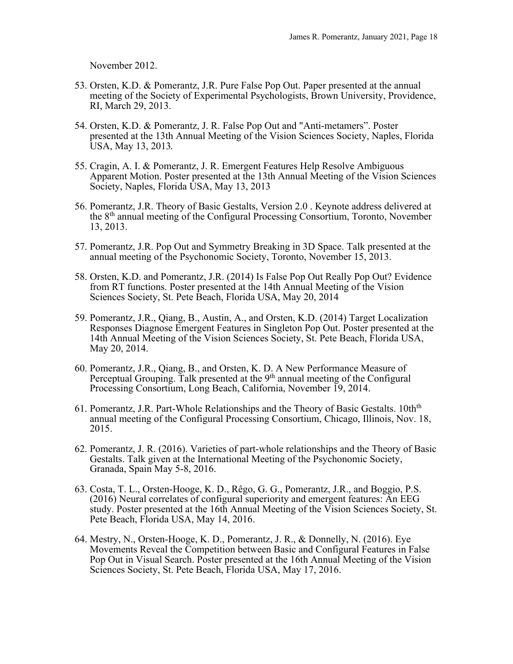November 2012.

- 53. Orsten, K.D. & Pomerantz, J.R. Pure False Pop Out. Paper presented at the annual meeting of the Society of Experimental Psychologists, Brown University, Providence, RI, March 29, 2013.
- 54. Orsten, K.D. & Pomerantz, J. R. False Pop Out and "Anti-metamers". Poster presented at the 13th Annual Meeting of the Vision Sciences Society, Naples, Florida USA, May 13, 2013*.*
- 55. Cragin, A. I. & Pomerantz, J. R. Emergent Features Help Resolve Ambiguous Apparent Motion. Poster presented at the 13th Annual Meeting of the Vision Sciences Society, Naples, Florida USA, May 13, 2013
- 56. Pomerantz, J.R. Theory of Basic Gestalts, Version 2.0 . Keynote address delivered at the 8th annual meeting of the Configural Processing Consortium, Toronto, November 13, 2013.
- 57. Pomerantz, J.R. Pop Out and Symmetry Breaking in 3D Space. Talk presented at the annual meeting of the Psychonomic Society, Toronto, November 15, 2013.
- 58. Orsten, K.D. and Pomerantz, J.R. (2014) Is False Pop Out Really Pop Out? Evidence from RT functions. Poster presented at the 14th Annual Meeting of the Vision Sciences Society, St. Pete Beach, Florida USA, May 20, 2014
- 59. Pomerantz, J.R., Qiang, B., Austin, A., and Orsten, K.D. (2014) Target Localization Responses Diagnose Emergent Features in Singleton Pop Out. Poster presented at the 14th Annual Meeting of the Vision Sciences Society, St. Pete Beach, Florida USA, May 20, 2014.
- 60. Pomerantz, J.R., Qiang, B., and Orsten, K. D. A New Performance Measure of Perceptual Grouping. Talk presented at the 9<sup>th</sup> annual meeting of the Configural Processing Consortium, Long Beach, California, November 19, 2014.
- 61. Pomerantz, J.R. Part-Whole Relationships and the Theory of Basic Gestalts.  $10th<sup>th</sup>$ annual meeting of the Configural Processing Consortium, Chicago, Illinois, Nov. 18, 2015.
- 62. Pomerantz, J. R. (2016). Varieties of part-whole relationships and the Theory of Basic Gestalts. Talk given at the International Meeting of the Psychonomic Society, Granada, Spain May 5-8, 2016.
- 63. Costa, T. L., Orsten-Hooge, K. D., Rêgo, G. G., Pomerantz, J.R., and Boggio, P.S. (2016) Neural correlates of configural superiority and emergent features: An EEG study. Poster presented at the 16th Annual Meeting of the Vision Sciences Society, St. Pete Beach, Florida USA, May 14, 2016.
- 64. Mestry, N., Orsten-Hooge, K. D., Pomerantz, J. R., & Donnelly, N. (2016). Eye Movements Reveal the Competition between Basic and Configural Features in False Pop Out in Visual Search. Poster presented at the 16th Annual Meeting of the Vision Sciences Society, St. Pete Beach, Florida USA, May 17, 2016.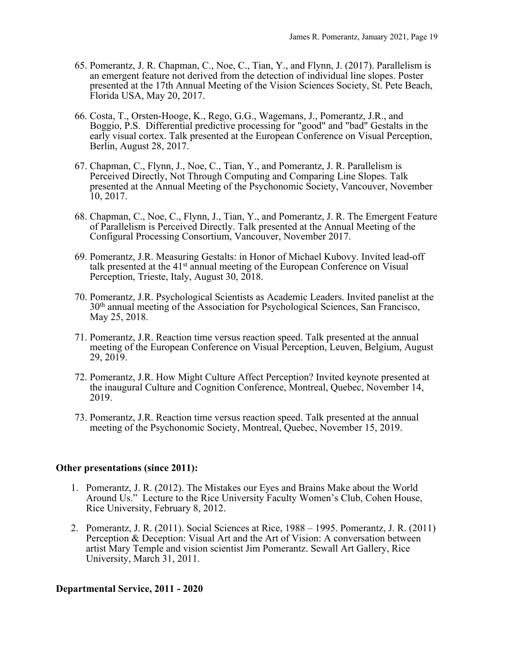- 65. Pomerantz, J. R. Chapman, C., Noe, C., Tian, Y., and Flynn, J. (2017). Parallelism is an emergent feature not derived from the detection of individual line slopes. Poster presented at the 17th Annual Meeting of the Vision Sciences Society, St. Pete Beach, Florida USA, May 20, 2017.
- 66. Costa, T., Orsten-Hooge, K., Rego, G.G., Wagemans, J., Pomerantz, J.R., and Boggio, P.S. Differential predictive processing for "good" and "bad" Gestalts in the early visual cortex. Talk presented at the European Conference on Visual Perception, Berlin, August 28, 2017.
- 67. Chapman, C., Flynn, J., Noe, C., Tian, Y., and Pomerantz, J. R. Parallelism is Perceived Directly, Not Through Computing and Comparing Line Slopes. Talk presented at the Annual Meeting of the Psychonomic Society, Vancouver, November 10, 2017.
- 68. Chapman, C., Noe, C., Flynn, J., Tian, Y., and Pomerantz, J. R. The Emergent Feature of Parallelism is Perceived Directly. Talk presented at the Annual Meeting of the Configural Processing Consortium, Vancouver, November 2017.
- 69. Pomerantz, J.R. Measuring Gestalts: in Honor of Michael Kubovy. Invited lead-off talk presented at the 41<sup>st</sup> annual meeting of the European Conference on Visual Perception, Trieste, Italy, August 30, 2018.
- 70. Pomerantz, J.R. Psychological Scientists as Academic Leaders. Invited panelist at the 30th annual meeting of the Association for Psychological Sciences, San Francisco, May 25, 2018.
- 71. Pomerantz, J.R. Reaction time versus reaction speed. Talk presented at the annual meeting of the European Conference on Visual Perception, Leuven, Belgium, August 29, 2019.
- 72. Pomerantz, J.R. How Might Culture Affect Perception? Invited keynote presented at the inaugural Culture and Cognition Conference, Montreal, Quebec, November 14, 2019.
- 73. Pomerantz, J.R. Reaction time versus reaction speed. Talk presented at the annual meeting of the Psychonomic Society, Montreal, Quebec, November 15, 2019.

## **Other presentations (since 2011):**

- 1. Pomerantz, J. R. (2012). The Mistakes our Eyes and Brains Make about the World Around Us." Lecture to the Rice University Faculty Women's Club, Cohen House, Rice University, February 8, 2012.
- 2. Pomerantz, J. R. (2011). Social Sciences at Rice, 1988 1995. Pomerantz, J. R. (2011) Perception & Deception: Visual Art and the Art of Vision: A conversation between artist Mary Temple and vision scientist Jim Pomerantz. Sewall Art Gallery, Rice University, March 31, 2011.

## **Departmental Service, 2011 - 2020**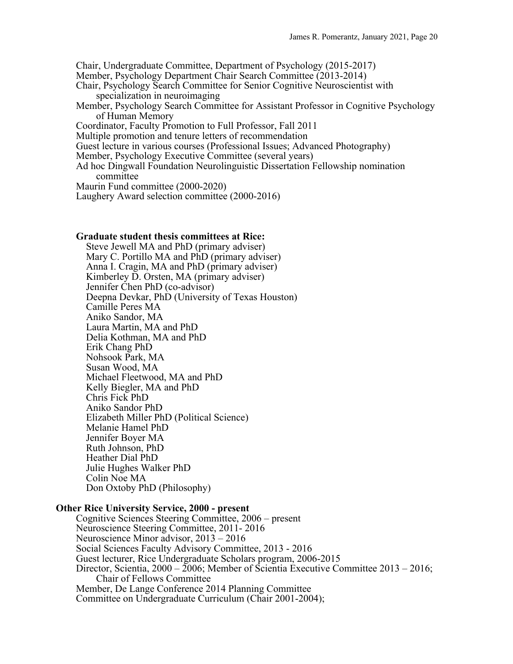Chair, Undergraduate Committee, Department of Psychology (2015-2017) Member, Psychology Department Chair Search Committee (2013-2014) Chair, Psychology Search Committee for Senior Cognitive Neuroscientist with specialization in neuroimaging Member, Psychology Search Committee for Assistant Professor in Cognitive Psychology of Human Memory Coordinator, Faculty Promotion to Full Professor, Fall 2011 Multiple promotion and tenure letters of recommendation Guest lecture in various courses (Professional Issues; Advanced Photography) Member, Psychology Executive Committee (several years) Ad hoc Dingwall Foundation Neurolinguistic Dissertation Fellowship nomination committee Maurin Fund committee (2000-2020)

Laughery Award selection committee (2000-2016)

#### **Graduate student thesis committees at Rice:**

Steve Jewell MA and PhD (primary adviser) Mary C. Portillo MA and PhD (primary adviser) Anna I. Cragin, MA and PhD (primary adviser) Kimberley D. Orsten, MA (primary adviser) Jennifer Chen PhD (co-advisor) Deepna Devkar, PhD (University of Texas Houston) Camille Peres MA Aniko Sandor, MA Laura Martin, MA and PhD Delia Kothman, MA and PhD Erik Chang PhD Nohsook Park, MA Susan Wood, MA Michael Fleetwood, MA and PhD Kelly Biegler, MA and PhD Chris Fick PhD Aniko Sandor PhD Elizabeth Miller PhD (Political Science) Melanie Hamel PhD Jennifer Boyer MA Ruth Johnson, PhD Heather Dial PhD Julie Hughes Walker PhD Colin Noe MA Don Oxtoby PhD (Philosophy)

#### **Other Rice University Service, 2000 - present**

Cognitive Sciences Steering Committee, 2006 – present Neuroscience Steering Committee, 2011- 2016 Neuroscience Minor advisor, 2013 – 2016 Social Sciences Faculty Advisory Committee, 2013 - 2016 Guest lecturer, Rice Undergraduate Scholars program, 2006-2015 Director, Scientia, 2000 – 2006; Member of Scientia Executive Committee 2013 – 2016; Chair of Fellows Committee Member, De Lange Conference 2014 Planning Committee Committee on Undergraduate Curriculum (Chair 2001-2004);